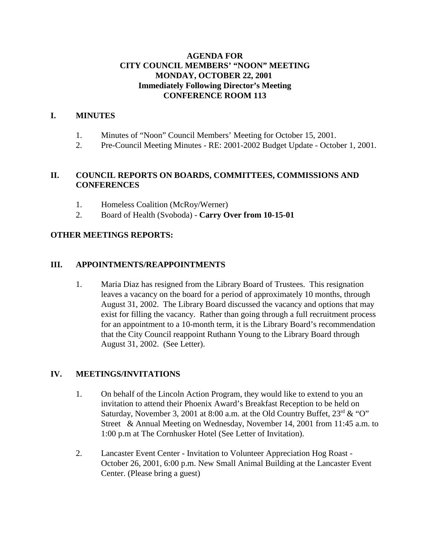## **AGENDA FOR CITY COUNCIL MEMBERS' "NOON" MEETING MONDAY, OCTOBER 22, 2001 Immediately Following Director's Meeting CONFERENCE ROOM 113**

## **I. MINUTES**

- 1. Minutes of "Noon" Council Members' Meeting for October 15, 2001.
- 2. Pre-Council Meeting Minutes RE: 2001-2002 Budget Update October 1, 2001.

## **II. COUNCIL REPORTS ON BOARDS, COMMITTEES, COMMISSIONS AND CONFERENCES**

- 1. Homeless Coalition (McRoy/Werner)
- 2. Board of Health (Svoboda) - **Carry Over from 10-15-01**

### **OTHER MEETINGS REPORTS:**

### **III. APPOINTMENTS/REAPPOINTMENTS**

1. Maria Diaz has resigned from the Library Board of Trustees. This resignation leaves a vacancy on the board for a period of approximately 10 months, through August 31, 2002. The Library Board discussed the vacancy and options that may exist for filling the vacancy. Rather than going through a full recruitment process for an appointment to a 10-month term, it is the Library Board's recommendation that the City Council reappoint Ruthann Young to the Library Board through August 31, 2002. (See Letter).

### **IV. MEETINGS/INVITATIONS**

- 1. On behalf of the Lincoln Action Program, they would like to extend to you an invitation to attend their Phoenix Award's Breakfast Reception to be held on Saturday, November 3, 2001 at 8:00 a.m. at the Old Country Buffet,  $23<sup>rd</sup> \& ^{\circ}$ "O" Street & Annual Meeting on Wednesday, November 14, 2001 from 11:45 a.m. to 1:00 p.m at The Cornhusker Hotel (See Letter of Invitation).
- 2. Lancaster Event Center Invitation to Volunteer Appreciation Hog Roast October 26, 2001, 6:00 p.m. New Small Animal Building at the Lancaster Event Center. (Please bring a guest)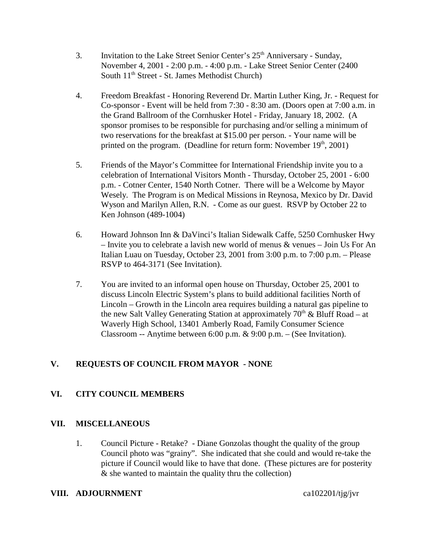- 3. Invitation to the Lake Street Senior Center's  $25<sup>th</sup>$  Anniversary Sunday, November 4, 2001 - 2:00 p.m. - 4:00 p.m. - Lake Street Senior Center (2400 South  $11<sup>th</sup>$  Street - St. James Methodist Church)
- 4. Freedom Breakfast Honoring Reverend Dr. Martin Luther King, Jr. Request for Co-sponsor - Event will be held from 7:30 - 8:30 am. (Doors open at 7:00 a.m. in the Grand Ballroom of the Cornhusker Hotel - Friday, January 18, 2002. (A sponsor promises to be responsible for purchasing and/or selling a minimum of two reservations for the breakfast at \$15.00 per person. - Your name will be printed on the program. (Deadline for return form: November  $19<sup>th</sup>$ , 2001)
- 5. Friends of the Mayor's Committee for International Friendship invite you to a celebration of International Visitors Month - Thursday, October 25, 2001 - 6:00 p.m. - Cotner Center, 1540 North Cotner. There will be a Welcome by Mayor Wesely. The Program is on Medical Missions in Reynosa, Mexico by Dr. David Wyson and Marilyn Allen, R.N. - Come as our guest. RSVP by October 22 to Ken Johnson (489-1004)
- 6. Howard Johnson Inn & DaVinci's Italian Sidewalk Caffe, 5250 Cornhusker Hwy – Invite you to celebrate a lavish new world of menus & venues – Join Us For An Italian Luau on Tuesday, October 23, 2001 from 3:00 p.m. to 7:00 p.m. – Please RSVP to 464-3171 (See Invitation).
- 7. You are invited to an informal open house on Thursday, October 25, 2001 to discuss Lincoln Electric System's plans to build additional facilities North of Lincoln – Growth in the Lincoln area requires building a natural gas pipeline to the new Salt Valley Generating Station at approximately  $70<sup>th</sup>$  & Bluff Road – at Waverly High School, 13401 Amberly Road, Family Consumer Science Classroom -- Anytime between 6:00 p.m. & 9:00 p.m. – (See Invitation).

# **V. REQUESTS OF COUNCIL FROM MAYOR - NONE**

# **VI. CITY COUNCIL MEMBERS**

### **VII. MISCELLANEOUS**

1. Council Picture - Retake? - Diane Gonzolas thought the quality of the group Council photo was "grainy". She indicated that she could and would re-take the picture if Council would like to have that done. (These pictures are for posterity & she wanted to maintain the quality thru the collection)

### **VIII.** ADJOURNMENT ca102201/tjg/jvr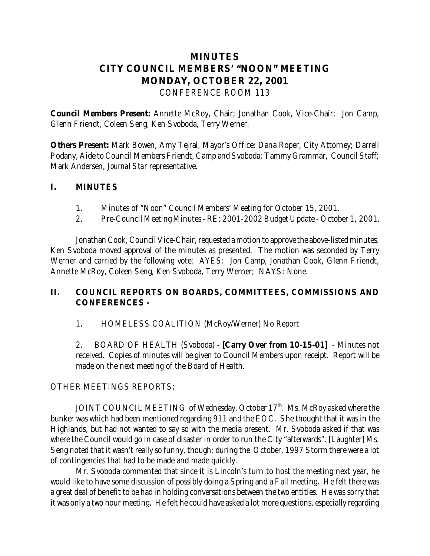# **MINUTES CITY COUNCIL MEMBERS' "NOON" MEETING MONDAY, OCTOBER 22, 2001** *CONFERENCE ROOM 113*

**Council Members Present:** Annette McRoy, Chair; Jonathan Cook, Vice-Chair; Jon Camp, Glenn Friendt, Coleen Seng, Ken Svoboda, Terry Werner.

**Others Present:** Mark Bowen, Amy Tejral, Mayor's Office; Dana Roper, City Attorney; Darrell Podany, Aide to Council Members Friendt, Camp and Svoboda; Tammy Grammar, Council Staff; Mark Andersen, *Journal Star* representative.

# **I. MINUTES**

- 1. Minutes of "Noon" Council Members' Meeting for October 15, 2001.
- 2. Pre-Council Meeting Minutes RE: 2001-2002 Budget Update October 1, 2001.

Jonathan Cook, Council Vice-Chair, requested a motion to approve the above-listed minutes. Ken Svoboda moved approval of the minutes as presented. The motion was seconded by Terry Werner and carried by the following vote: AYES: Jon Camp, Jonathan Cook, Glenn Friendt, Annette McRoy, Coleen Seng, Ken Svoboda, Terry Werner; NAYS: None.

# **II. COUNCIL REPORTS ON BOARDS, COMMITTEES, COMMISSIONS AND CONFERENCES -**

### 1. HOMELESS COALITION (McRoy/Werner) No Report

2. BOARD OF HEALTH (Svoboda) - **[Carry Over from 10-15-01]** - Minutes not received. Copies of minutes will be given to Council Members upon receipt. Report will be made on the next meeting of the Board of Health.

### OTHER MEETINGS REPORTS:

JOINT COUNCIL MEETING of Wednesday, October 17<sup>th</sup>. Ms. McRoy asked where the bunker was which had been mentioned regarding 911 and the EOC. She thought that it was in the Highlands, but had not wanted to say so with the media present. Mr. Svoboda asked if that was where the Council would go in case of disaster in order to run the City "afterwards". [Laughter] Ms. Seng noted that it wasn't really so funny, though; during the October, 1997 Storm there were a lot of contingencies that had to be made and made quickly.

Mr. Svoboda commented that since it is Lincoln's turn to host the meeting next year, he would like to have some discussion of possibly doing a Spring and a Fall meeting. He felt there was a great deal of benefit to be had in holding conversations between the two entities. He was sorry that it was only a two hour meeting. He felt he could have asked a lot more questions, especially regarding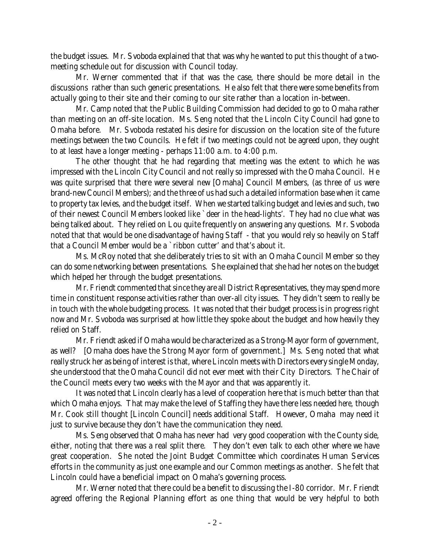the budget issues. Mr. Svoboda explained that that was why he wanted to put this thought of a twomeeting schedule out for discussion with Council today.

Mr. Werner commented that if that was the case, there should be more detail in the discussions rather than such generic presentations. He also felt that there were some benefits from actually going to their site and their coming to our site rather than a location in-between.

Mr. Camp noted that the Public Building Commission had decided to go to Omaha rather than meeting on an off-site location. Ms. Seng noted that the Lincoln City Council had gone to Omaha before. Mr. Svoboda restated his desire for discussion on the location site of the future meetings between the two Councils. He felt if two meetings could not be agreed upon, they ought to at least have a longer meeting - perhaps 11:00 a.m. to 4:00 p.m.

The other thought that he had regarding that meeting was the extent to which he was impressed with the Lincoln City Council and not really so impressed with the Omaha Council. He was quite surprised that there were several new [Omaha] Council Members, (as three of us were brand-new Council Members); and the three of us had such a detailed information base when it came to property tax levies, and the budget itself. When we started talking budget and levies and such, two of their newest Council Members looked like `deer in the head-lights'. They had no clue what was being talked about. They relied on Lou quite frequently on answering any questions. Mr. Svoboda noted that that would be one disadvantage of having Staff - that you would rely so heavily on Staff that a Council Member would be a `ribbon cutter' and that's about it.

Ms. McRoy noted that she deliberately tries to sit with an Omaha Council Member so they can do some networking between presentations. She explained that she had her notes on the budget which helped her through the budget presentations.

Mr. Friendt commented that since they are all District Representatives, they may spend more time in constituent response activities rather than over-all city issues. They didn't seem to really be in touch with the whole budgeting process. It was noted that their budget process is in progress right now and Mr. Svoboda was surprised at how little they spoke about the budget and how heavily they relied on Staff.

Mr. Friendt asked if Omaha would be characterized as a Strong-Mayor form of government, as well? [Omaha does have the Strong Mayor form of government.] Ms. Seng noted that what really struck her as being of interest is that, where Lincoln meets with Directors every single Monday, she understood that the Omaha Council did not ever meet with their City Directors. The Chair of the Council meets every two weeks with the Mayor and that was apparently it.

It was noted that Lincoln clearly has a level of cooperation here that is much better than that which Omaha enjoys. That may make the level of Staffing they have there less needed *here,* though Mr. Cook still thought [Lincoln Council] needs additional Staff. However, Omaha may need it just to survive because they don't have the communication they need.

Ms. Seng observed that Omaha has never had very good cooperation with the County side, either, noting that there was a real split there. They don't even talk to each other where we have great cooperation. She noted the Joint Budget Committee which coordinates Human Services efforts in the community as just one example and our Common meetings as another. She felt that Lincoln could have a beneficial impact on Omaha's governing process.

Mr. Werner noted that there could be a benefit to discussing the I-80 corridor. Mr. Friendt agreed offering the Regional Planning effort as one thing that would be very helpful to both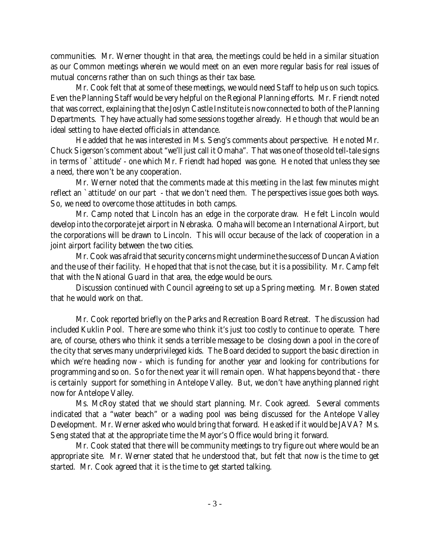communities. Mr. Werner thought in that area, the meetings could be held in a similar situation as our Common meetings wherein we would meet on an even more regular basis for real issues of mutual concerns rather than on such things as their tax base.

Mr. Cook felt that at some of these meetings, we would need Staff to help us on such topics. Even the Planning Staff would be very helpful on the Regional Planning efforts. Mr. Friendt noted that was correct, explaining that the Joslyn Castle Institute is now connected to both of the Planning Departments. They have actually had some sessions together already. He though that would be an ideal setting to have elected officials in attendance.

He added that he was interested in Ms. Seng's comments about perspective. He noted Mr. Chuck Sigerson's comment about "we'll just call it Omaha". That was one of those old tell-tale signs in terms of `attitude' - one which Mr. Friendt had hoped was gone. He noted that unless they see a need, there won't be any cooperation.

Mr. Werner noted that the comments made at this meeting in the last few minutes might reflect an `attitude' on our part - that we don't need *them.* The perspectives issue goes both ways. So, we need to overcome those attitudes in both camps.

Mr. Camp noted that Lincoln has an edge in the corporate draw. He felt Lincoln would develop into the corporate jet airport in Nebraska. Omaha will become an International Airport, but the corporations will be drawn to Lincoln. This will occur because of the lack of cooperation in a joint airport facility between the two cities.

Mr. Cook was afraid that security concerns might undermine the success of Duncan Aviation and the use of their facility. He hoped that that is not the case, but it is a possibility. Mr. Camp felt that with the National Guard in that area, the edge would be ours.

Discussion continued with Council agreeing to set up a Spring meeting. Mr. Bowen stated that he would work on that.

Mr. Cook reported briefly on the Parks and Recreation Board Retreat. The discussion had included Kuklin Pool. There are some who think it's just too costly to continue to operate. There are, of course, others who think it sends a terrible message to be closing down a pool in the core of the city that serves many underprivileged kids. The Board decided to support the basic direction in which we're heading now - which is funding for another year and looking for contributions for programming and so on. So for the next year it will remain open. What happens beyond that - there is certainly support for something in Antelope Valley. But, we don't have anything planned right now for Antelope Valley.

Ms. McRoy stated that we should start planning. Mr. Cook agreed. Several comments indicated that a "water beach" or a wading pool was being discussed for the Antelope Valley Development. Mr. Werner asked who would bring that forward. He asked if it would be JAVA? Ms. Seng stated that at the appropriate time the Mayor's Office would bring it forward.

Mr. Cook stated that there will be community meetings to try figure out where would be an appropriate site. Mr. Werner stated that he understood that, but felt that now is the time to get started. Mr. Cook agreed that it is the time to get started talking.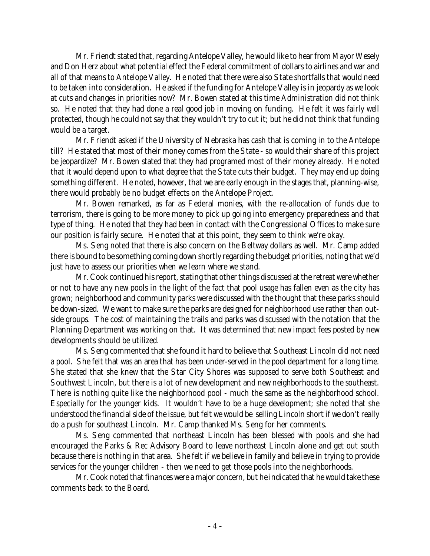Mr. Friendt stated that, regarding Antelope Valley, he would like to hear from Mayor Wesely and Don Herz about what potential effect the Federal commitment of dollars to airlines and war and all of that means to Antelope Valley. He noted that there were also State shortfalls that would need to be taken into consideration. He asked if the funding for Antelope Valley is in jeopardy as we look at cuts and changes in priorities now? Mr. Bowen stated at this time Administration did not think so. He noted that they had done a real good job in moving on funding. He felt it was fairly well protected, though he could not say that they wouldn't try to cut it; but he did not think *that* funding would be a target.

Mr. Friendt asked if the University of Nebraska has cash that is coming in to the Antelope till? He stated that most of their money comes from the State - so would their share of this project be jeopardize? Mr. Bowen stated that they had programed most of their money already. He noted that it would depend upon to what degree that the State cuts their budget. They may end up doing something different. He noted, however, that we are early enough in the stages that, planning-wise, there would probably be no budget effects on the Antelope Project.

Mr. Bowen remarked, as far as Federal monies, with the re-allocation of funds due to terrorism, there is going to be more money to pick up going into emergency preparedness and that type of thing. He noted that they had been in contact with the Congressional Offices to make sure our position is fairly secure. He noted that at this point, they seem to think we're okay.

Ms. Seng noted that there is also concern on the Beltway dollars as well. Mr. Camp added there is bound to be something coming down shortly regarding the budget priorities, noting that we'd just have to assess our priorities when we learn where we stand.

Mr. Cook continued his report, stating that other things discussed at the retreat were whether or not to have any new pools in the light of the fact that pool usage has fallen even as the city has grown; neighborhood and community parks were discussed with the thought that these parks should be down-sized. We want to make sure the parks are designed for neighborhood use rather than outside groups. The cost of maintaining the trails and parks was discussed with the notation that the Planning Department was working on that. It was determined that new impact fees posted by new developments should be utilized.

Ms. Seng commented that she found it hard to believe that Southeast Lincoln did not need a pool. She felt that was an area that has been under-served in the pool department for a long time. She stated that she knew that the Star City Shores was supposed to serve both Southeast and Southwest Lincoln, but there is a lot of new development and new neighborhoods to the southeast. There is nothing quite like the neighborhood pool - much the same as the neighborhood school. Especially for the younger kids. It wouldn't have to be a huge development; she noted that she understood the financial side of the issue, but felt we would be selling Lincoln short if we don't really do a push for southeast Lincoln. Mr. Camp thanked Ms. Seng for her comments.

Ms. Seng commented that northeast Lincoln has been blessed with pools and she had encouraged the Parks & Rec Advisory Board to leave northeast Lincoln alone and get out south because there is nothing in that area. She felt if we believe in family and believe in trying to provide services for the younger children - then we need to get those pools into the neighborhoods.

Mr. Cook noted that finances were a major concern, but he indicated that he would take these comments back to the Board.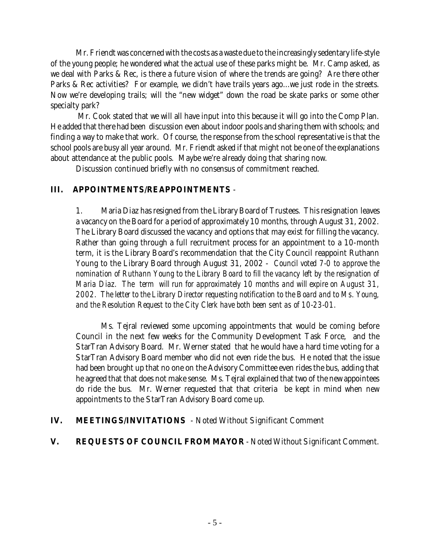Mr. Friendt was concerned with the costs as a waste due to the increasingly sedentary life-style of the young people; he wondered what the actual use of these parks might be. Mr. Camp asked, as we deal with Parks & Rec, is there a future vision of where the trends are going? Are there other Parks & Rec activities? For example, we didn't have trails years ago...we just rode in the streets. Now we're developing trails; will the "new widget" down the road be skate parks or some other specialty park?

 Mr. Cook stated that we will all have input into this because it will go into the Comp Plan. He added that there had been discussion even about indoor pools and sharing them with schools; and finding a way to make that work. Of course, the response from the school representative is that the school pools are busy all year around. Mr. Friendt asked if that might not be one of the explanations about attendance at the public pools. Maybe we're already doing that sharing now.

Discussion continued briefly with no consensus of commitment reached.

# **III. APPOINTMENTS/REAPPOINTMENTS** -

1. Maria Diaz has resigned from the Library Board of Trustees. This resignation leaves a vacancy on the Board for a period of approximately 10 months, through August 31, 2002. The Library Board discussed the vacancy and options that may exist for filling the vacancy. Rather than going through a full recruitment process for an appointment to a 10-month term, it is the Library Board's recommendation that the City Council reappoint Ruthann Young to the Library Board through August 31, 2002 - *Council voted 7-0 to approve the nomination of Ruthann Young to the Library Board to fill the vacancy left by the resignation of Maria Diaz. The term will run for approximately 10 months and will expire on August 31, 2002. The letter to the Library Director requesting notification to the Board and to Ms. Young, and the Resolution Request to the City Clerk have both been sent as of 10-23-01.*

Ms. Tejral reviewed some upcoming appointments that would be coming before Council in the next few weeks for the Community Development Task Force, and the StarTran Advisory Board. Mr. Werner stated that he would have a hard time voting for a StarTran Advisory Board member who did not even ride the bus. He noted that the issue had been brought up that no one on the Advisory Committee even rides the bus, adding that he agreed that that does not make sense. Ms. Tejral explained that two of the new appointees do ride the bus. Mr. Werner requested that that criteria be kept in mind when new appointments to the StarTran Advisory Board come up.

**IV. MEETINGS/INVITATIONS** - Noted Without Significant Comment

# **V. REQUESTS OF COUNCIL FROM MAYOR** - Noted Without Significant Comment.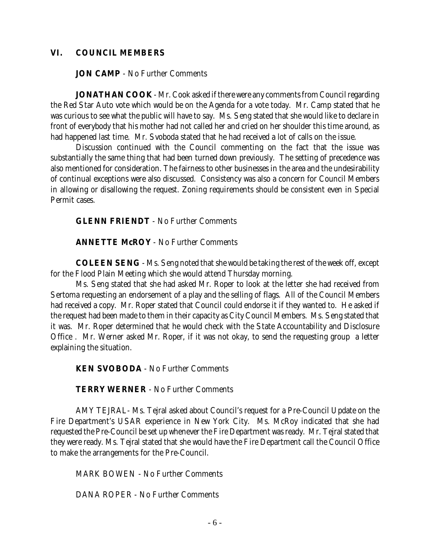#### **VI. COUNCIL MEMBERS**

**JON CAMP** - No Further Comments

**JONATHAN COOK** - Mr. Cook asked if there were any comments from Council regarding the Red Star Auto vote which would be on the Agenda for a vote today. Mr. Camp stated that he was curious to see what the public will have to say. Ms. Seng stated that she would like to declare in front of everybody that his mother had not called her and cried on her shoulder this time around, as had happened last time. Mr. Svoboda stated that he had received a lot of calls on the issue.

Discussion continued with the Council commenting on the fact that the issue was substantially the same thing that had been turned down previously. The setting of precedence was also mentioned for consideration. The fairness to other businesses in the area and the undesirability of continual exceptions were also discussed. Consistency was also a concern for Council Members in allowing or disallowing the request. Zoning requirements should be consistent even in Special Permit cases.

**GLENN FRIENDT** - No Further Comments

**ANNETTE McROY** - No Further Comments

**COLEEN SENG** - Ms. Seng noted that she would be taking the rest of the week off, except for the Flood Plain Meeting which she would attend Thursday morning.

Ms. Seng stated that she had asked Mr. Roper to look at the letter she had received from Sertoma requesting an endorsement of a play and the selling of flags. All of the Council Members had received a copy. Mr. Roper stated that Council could endorse it if they wanted to. He asked if the request had been made to them in their capacity as City Council Members. Ms. Seng stated that it was. Mr. Roper determined that he would check with the State Accountability and Disclosure Office . Mr. Werner asked Mr. Roper, if it was not okay, to send the requesting group a letter explaining the situation.

**KEN SVOBODA** - No Further Comments

**TERRY WERNER** - No Further Comments

AMY TEJRAL- Ms. Tejral asked about Council's request for a Pre-Council Update on the Fire Department's USAR experience in New York City. Ms. McRoy indicated that she had requested the Pre-Council be set up whenever the Fire Department was ready. Mr. Tejral stated that they were ready. Ms. Tejral stated that she would have the Fire Department call the Council Office to make the arrangements for the Pre-Council.

MARK BOWEN - No Further Comments

DANA ROPER - No Further Comments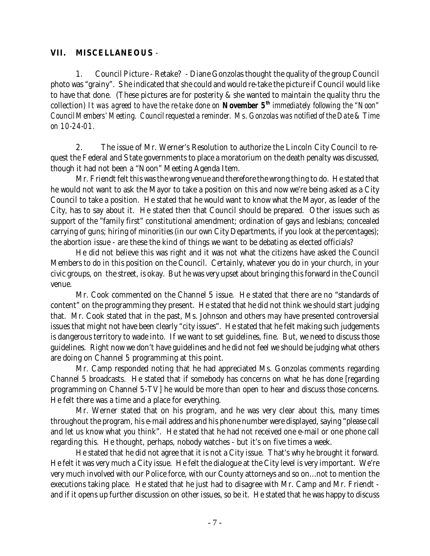## **VII. MISCELLANEOUS** -

1. Council Picture - Retake? - Diane Gonzolas thought the quality of the group Council photo was "grainy". She indicated that she could and would re-take the picture if Council would like to have that done. (These pictures are for posterity & she wanted to maintain the quality thru the collection) *It was agreed to have the re-take done on November 5th immediately following the "Noon" Council Members' Meeting. Council requested a reminder. Ms. Gonzolas was notified of the Date & Time on 10-24-01.*

2. The issue of Mr. Werner's Resolution to authorize the Lincoln City Council to request the Federal and State governments to place a moratorium on the death penalty was discussed, though it had not been a "Noon" Meeting Agenda Item.

Mr. Friendt felt this was the wrong venue and therefore the wrong thing to do. He stated that he would not want to ask the Mayor to take a position on this and now we're being asked as a City Council to take a position. He stated that he would want to know what the Mayor, as leader of the City, has to say about it. He stated then that Council should be prepared. Other issues such as support of the "family first" constitutional amendment; ordination of gays and lesbians; concealed carrying of guns; hiring of minorities (in our own City Departments, if you look at the percentages); the abortion issue - are these the kind of things we want to be debating as elected officials?

He did not believe this was right and it was not what the citizens have asked the Council Members to do in this position on the Council. Certainly, whatever you do in your church, in your civic groups, on the street, is okay. But he was very upset about bringing this forward in the Council venue.

Mr. Cook commented on the Channel 5 issue. He stated that there are no "standards of content" on the programming they present. He stated that he did not think we should start judging that. Mr. Cook stated that in the past, Ms. Johnson and others may have presented controversial issues that might not have been clearly "city issues". He stated that he felt making such judgements is dangerous territory to wade into. If we want to set guidelines, fine. But, we need to discuss those guidelines. Right now we don't have guidelines and he did not feel we should be judging what others are doing on Channel 5 programming at this point.

Mr. Camp responded noting that he had appreciated Ms. Gonzolas comments regarding Channel 5 broadcasts. He stated that if somebody has concerns on what he has done [regarding programming on Channel 5-TV] he would be more than open to hear and discuss those concerns. He felt there was a time and a place for everything.

Mr. Werner stated that on his program, and he was very clear about this, many times throughout the program, his e-mail address and his phone number were displayed, saying "please call and let us know what you think". He stated that he had not received one e-mail or one phone call regarding this. He thought, perhaps, nobody watches - but it's on five times a week.

He stated that he did not agree that it is not a City issue. That's why he brought it forward. He felt it was very much a City issue. He felt the dialogue at the City level is very important. We're very much involved with our Police force, with our County attorneys and so on...not to mention the executions taking place. He stated that he just had to disagree with Mr. Camp and Mr. Friendt and if it opens up further discussion on other issues, so be it. He stated that he was happy to discuss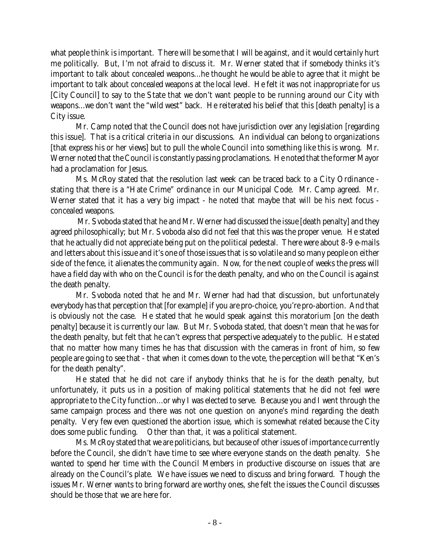what people think is important. There will be some that I will be against, and it would certainly hurt me politically. But, I'm not afraid to discuss it. Mr. Werner stated that if somebody thinks it's important to talk about concealed weapons...he thought he would be able to agree that it might be important to talk about concealed weapons at the local level. He felt it was not inappropriate for us [City Council] to say to the State that we don't want people to be running around our City with weapons...we don't want the "wild west" back. He reiterated his belief that this [death penalty] is a City issue.

Mr. Camp noted that the Council does not have jurisdiction over any legislation [regarding this issue]. That is a critical criteria in our discussions. An individual can belong to organizations [that express his or her views] but to pull the whole Council into something like this is wrong. Mr. Werner noted that the Council is constantly passing proclamations. He noted that the former Mayor had a proclamation for Jesus.

Ms. McRoy stated that the resolution last week can be traced back to a City Ordinance stating that there is a "Hate Crime" ordinance in our Municipal Code. Mr. Camp agreed. Mr. Werner stated that it has a very big impact - he noted that maybe that will be his next focus concealed weapons.

 Mr. Svoboda stated that he and Mr. Werner had discussed the issue [death penalty] and they agreed philosophically; but Mr. Svoboda also did not feel that this was the proper venue. He stated that he actually did not appreciate being put on the political pedestal. There were about 8-9 e-mails and letters about this issue and it's one of those issues that is so volatile and so many people on either side of the fence, it alienates the community again. Now, for the next couple of weeks the press will have a field day with who on the Council is for the death penalty, and who on the Council is against the death penalty.

Mr. Svoboda noted that he and Mr. Werner had had that discussion, but unfortunately everybody has that perception that [for example] if you are pro-choice, you're pro-abortion. And that is obviously not the case. He stated that he would speak against this moratorium [on the death penalty] because it is currently our law. But Mr. Svoboda stated, that doesn't mean that he was for the death penalty, but felt that he can't express that perspective adequately to the public. He stated that no matter how many times he has that discussion with the cameras in front of him, so few people are going to see that - that when it comes down to the vote, the perception will be that "Ken's for the death penalty".

He stated that he did not care if anybody thinks that he is for the death penalty, but unfortunately, it puts us in a position of making political statements that he did not feel were appropriate to the City function...or why I was elected to serve. Because you and I went through the same campaign process and there was not one question on anyone's mind regarding the death penalty. Very few even questioned the abortion issue, which is somewhat related because the City does some public funding. Other than that, it was a political statement.

Ms. McRoy stated that we are politicians, but because of other issues of importance currently before the Council, she didn't have time to see where everyone stands on the death penalty. She wanted to spend her time with the Council Members in productive discourse on issues that are already on the Council's plate. We have issues we need to discuss and bring forward. Though the issues Mr. Werner wants to bring forward are worthy ones, she felt the issues the Council discusses should be those that we are here for.